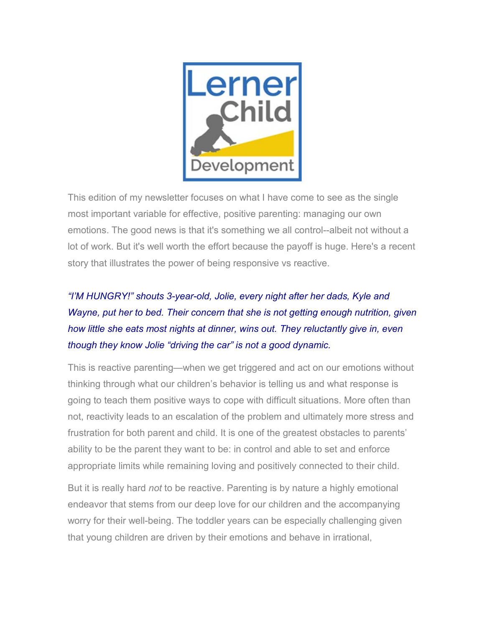

This edition of my newsletter focuses on what I have come to see as the single most important variable for effective, positive parenting: managing our own emotions. The good news is that it's something we all control--albeit not without a lot of work. But it's well worth the effort because the payoff is huge. Here's a recent story that illustrates the power of being responsive vs reactive.

## *"I'M HUNGRY!" shouts 3-year-old, Jolie, every night after her dads, Kyle and Wayne, put her to bed. Their concern that she is not getting enough nutrition, given how little she eats most nights at dinner, wins out. They reluctantly give in, even though they know Jolie "driving the car" is not a good dynamic.*

This is reactive parenting—when we get triggered and act on our emotions without thinking through what our children's behavior is telling us and what response is going to teach them positive ways to cope with difficult situations. More often than not, reactivity leads to an escalation of the problem and ultimately more stress and frustration for both parent and child. It is one of the greatest obstacles to parents' ability to be the parent they want to be: in control and able to set and enforce appropriate limits while remaining loving and positively connected to their child.

But it is really hard *not* to be reactive. Parenting is by nature a highly emotional endeavor that stems from our deep love for our children and the accompanying worry for their well-being. The toddler years can be especially challenging given that young children are driven by their emotions and behave in irrational,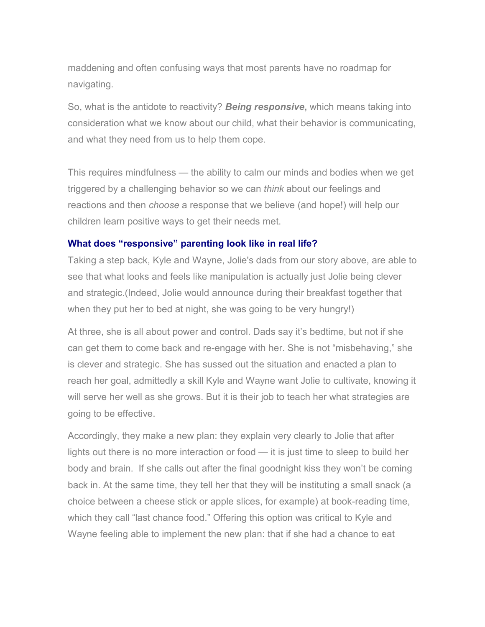maddening and often confusing ways that most parents have no roadmap for navigating.

So, what is the antidote to reactivity? *Being responsive***,** which means taking into consideration what we know about our child, what their behavior is communicating, and what they need from us to help them cope.

This requires mindfulness — the ability to calm our minds and bodies when we get triggered by a challenging behavior so we can *think* about our feelings and reactions and then *choose* a response that we believe (and hope!) will help our children learn positive ways to get their needs met.

## **What does "responsive" parenting look like in real life?**

Taking a step back, Kyle and Wayne, Jolie's dads from our story above, are able to see that what looks and feels like manipulation is actually just Jolie being clever and strategic.(Indeed, Jolie would announce during their breakfast together that when they put her to bed at night, she was going to be very hungry!)

At three, she is all about power and control. Dads say it's bedtime, but not if she can get them to come back and re-engage with her. She is not "misbehaving," she is clever and strategic. She has sussed out the situation and enacted a plan to reach her goal, admittedly a skill Kyle and Wayne want Jolie to cultivate, knowing it will serve her well as she grows. But it is their job to teach her what strategies are going to be effective.

Accordingly, they make a new plan: they explain very clearly to Jolie that after lights out there is no more interaction or food — it is just time to sleep to build her body and brain. If she calls out after the final goodnight kiss they won't be coming back in. At the same time, they tell her that they will be instituting a small snack (a choice between a cheese stick or apple slices, for example) at book-reading time, which they call "last chance food." Offering this option was critical to Kyle and Wayne feeling able to implement the new plan: that if she had a chance to eat